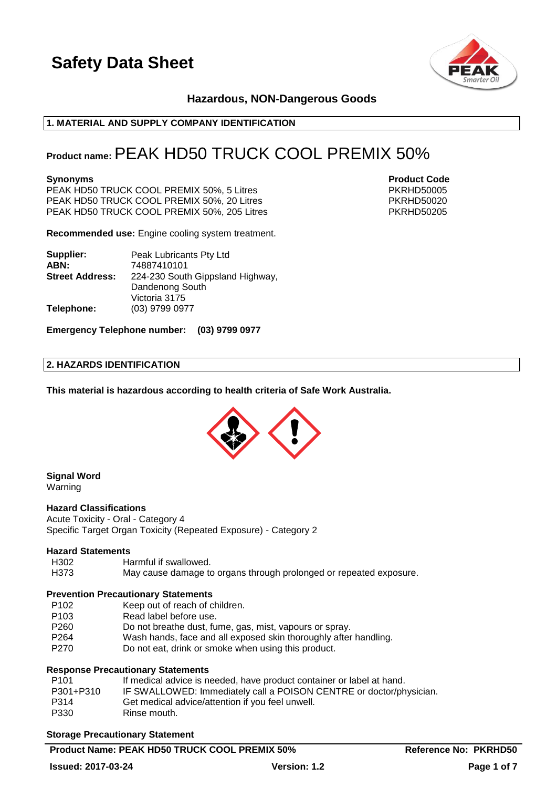

# **Hazardous, NON-Dangerous Goods**

# **1. MATERIAL AND SUPPLY COMPANY IDENTIFICATION**

# **Product name:**PEAK HD50 TRUCK COOL PREMIX 50%

PEAK HD50 TRUCK COOL PREMIX 50%, 5 Litres PKRHD50005 PEAK HD50 TRUCK COOL PREMIX 50%, 20 Litres<br>PEAK HD50 TRUCK COOL PREMIX 50%, 205 Litres PKRHD50205 PEAK HD50 TRUCK COOL PREMIX 50%, 205 Litres

**Recommended use:** Engine cooling system treatment.

| Supplier:              | Peak Lubricants Pty Ltd          |  |
|------------------------|----------------------------------|--|
| ABN:                   | 74887410101                      |  |
| <b>Street Address:</b> | 224-230 South Gippsland Highway, |  |
|                        | Dandenong South                  |  |
|                        | Victoria 3175                    |  |
| Telephone:             | (03) 9799 0977                   |  |

**Emergency Telephone number: (03) 9799 0977**

### **2. HAZARDS IDENTIFICATION**

**This material is hazardous according to health criteria of Safe Work Australia.**



#### **Signal Word** Warning

# **Hazard Classifications**

Acute Toxicity - Oral - Category 4 Specific Target Organ Toxicity (Repeated Exposure) - Category 2

#### **Hazard Statements**

- H302 Harmful if swallowed.
- H373 May cause damage to organs through prolonged or repeated exposure.

#### **Prevention Precautionary Statements**

- P102 Keep out of reach of children.
- P103 Read label before use.
- P260 Do not breathe dust, fume, gas, mist, vapours or spray.
- P264 Wash hands, face and all exposed skin thoroughly after handling.
- P270 Do not eat, drink or smoke when using this product.

# **Response Precautionary Statements**

| P101      | If medical advice is needed, have product container or label at hand. |
|-----------|-----------------------------------------------------------------------|
| P301+P310 | IF SWALLOWED: Immediately call a POISON CENTRE or doctor/physician.   |
| P314      | Get medical advice/attention if you feel unwell.                      |
| P330      | Rinse mouth.                                                          |

#### **Storage Precautionary Statement**

**Synonyms Product Code**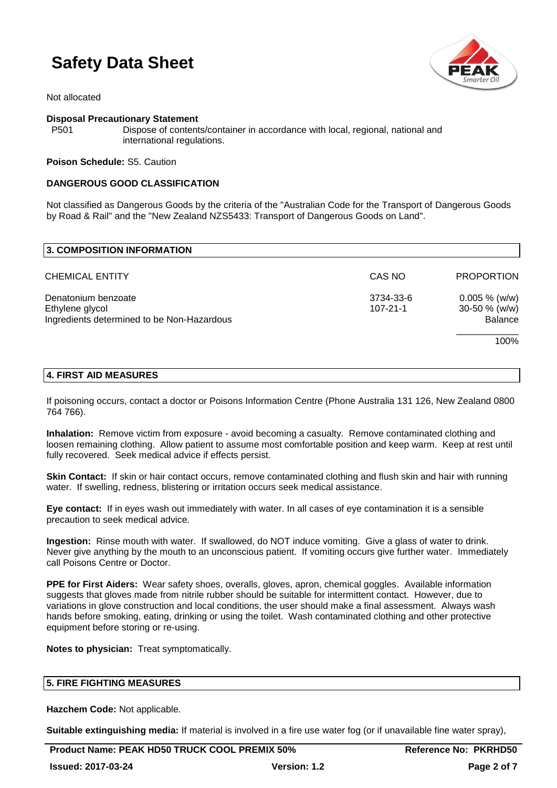

Not allocated

### **Disposal Precautionary Statement**

P501 Dispose of contents/container in accordance with local, regional, national and international regulations.

**Poison Schedule:** S5. Caution

# **DANGEROUS GOOD CLASSIFICATION**

Not classified as Dangerous Goods by the criteria of the "Australian Code for the Transport of Dangerous Goods by Road & Rail" and the "New Zealand NZS5433: Transport of Dangerous Goods on Land".

| 3. COMPOSITION INFORMATION                                                           |                             |                                                        |
|--------------------------------------------------------------------------------------|-----------------------------|--------------------------------------------------------|
| <b>CHEMICAL ENTITY</b>                                                               | CAS NO                      | <b>PROPORTION</b>                                      |
| Denatonium benzoate<br>Ethylene glycol<br>Ingredients determined to be Non-Hazardous | 3734-33-6<br>$107 - 21 - 1$ | $0.005 \%$ (w/w)<br>$30-50 \%$ (w/w)<br><b>Balance</b> |
|                                                                                      |                             | 100%                                                   |

# **4. FIRST AID MEASURES**

If poisoning occurs, contact a doctor or Poisons Information Centre (Phone Australia 131 126, New Zealand 0800 764 766).

**Inhalation:** Remove victim from exposure - avoid becoming a casualty. Remove contaminated clothing and loosen remaining clothing. Allow patient to assume most comfortable position and keep warm. Keep at rest until fully recovered. Seek medical advice if effects persist.

**Skin Contact:** If skin or hair contact occurs, remove contaminated clothing and flush skin and hair with running water. If swelling, redness, blistering or irritation occurs seek medical assistance.

**Eye contact:** If in eyes wash out immediately with water. In all cases of eye contamination it is a sensible precaution to seek medical advice.

**Ingestion:** Rinse mouth with water. If swallowed, do NOT induce vomiting. Give a glass of water to drink. Never give anything by the mouth to an unconscious patient. If vomiting occurs give further water. Immediately call Poisons Centre or Doctor.

**PPE for First Aiders:** Wear safety shoes, overalls, gloves, apron, chemical goggles. Available information suggests that gloves made from nitrile rubber should be suitable for intermittent contact. However, due to variations in glove construction and local conditions, the user should make a final assessment. Always wash hands before smoking, eating, drinking or using the toilet. Wash contaminated clothing and other protective equipment before storing or re-using.

**Notes to physician:** Treat symptomatically.

# **5. FIRE FIGHTING MEASURES**

**Hazchem Code:** Not applicable.

**Suitable extinguishing media:** If material is involved in a fire use water fog (or if unavailable fine water spray),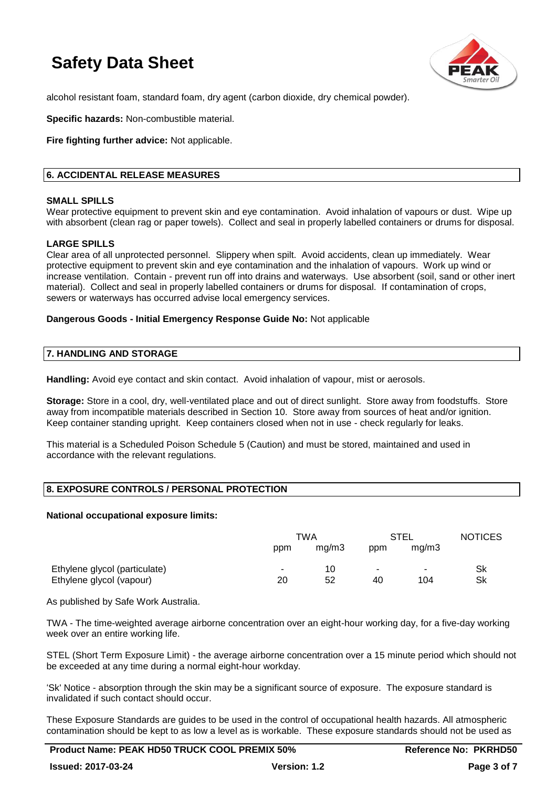

alcohol resistant foam, standard foam, dry agent (carbon dioxide, dry chemical powder).

**Specific hazards:** Non-combustible material.

**Fire fighting further advice:** Not applicable.

# **6. ACCIDENTAL RELEASE MEASURES**

#### **SMALL SPILLS**

Wear protective equipment to prevent skin and eve contamination. Avoid inhalation of vapours or dust. Wipe up with absorbent (clean rag or paper towels). Collect and seal in properly labelled containers or drums for disposal.

### **LARGE SPILLS**

Clear area of all unprotected personnel. Slippery when spilt. Avoid accidents, clean up immediately. Wear protective equipment to prevent skin and eye contamination and the inhalation of vapours. Work up wind or increase ventilation. Contain - prevent run off into drains and waterways. Use absorbent (soil, sand or other inert material). Collect and seal in properly labelled containers or drums for disposal. If contamination of crops, sewers or waterways has occurred advise local emergency services.

### **Dangerous Goods - Initial Emergency Response Guide No:** Not applicable

#### **7. HANDLING AND STORAGE**

**Handling:** Avoid eye contact and skin contact. Avoid inhalation of vapour, mist or aerosols.

**Storage:** Store in a cool, dry, well-ventilated place and out of direct sunlight. Store away from foodstuffs. Store away from incompatible materials described in Section 10. Store away from sources of heat and/or ignition. Keep container standing upright. Keep containers closed when not in use - check regularly for leaks.

This material is a Scheduled Poison Schedule 5 (Caution) and must be stored, maintained and used in accordance with the relevant regulations.

# **8. EXPOSURE CONTROLS / PERSONAL PROTECTION**

#### **National occupational exposure limits:**

|                               | TWA |       | STEL                     |        | <b>NOTICES</b> |
|-------------------------------|-----|-------|--------------------------|--------|----------------|
|                               | ppm | mq/m3 | ppm                      | ma/m3  |                |
| Ethylene glycol (particulate) |     | 10    | $\overline{\phantom{a}}$ | $\sim$ | Sk             |
| Ethylene glycol (vapour)      | 20  | 52    | 40                       | 104    | Sk             |

As published by Safe Work Australia.

TWA - The time-weighted average airborne concentration over an eight-hour working day, for a five-day working week over an entire working life.

STEL (Short Term Exposure Limit) - the average airborne concentration over a 15 minute period which should not be exceeded at any time during a normal eight-hour workday.

'Sk' Notice - absorption through the skin may be a significant source of exposure. The exposure standard is invalidated if such contact should occur.

These Exposure Standards are guides to be used in the control of occupational health hazards. All atmospheric contamination should be kept to as low a level as is workable. These exposure standards should not be used as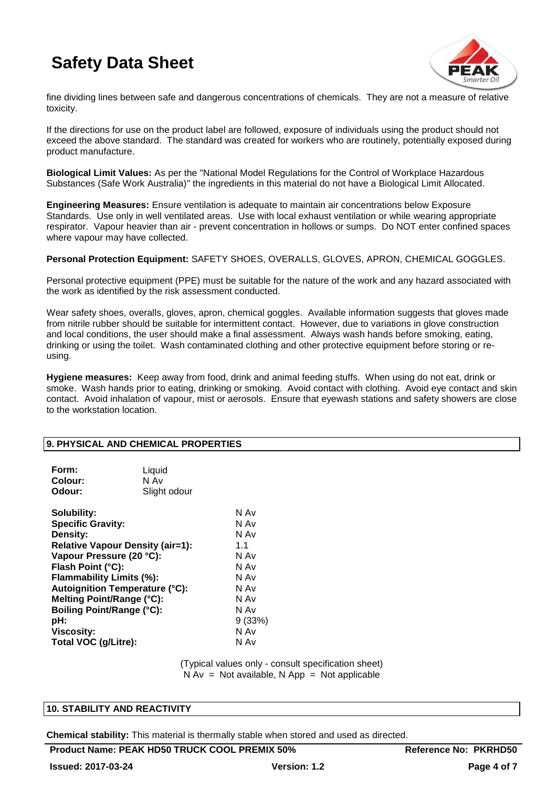

fine dividing lines between safe and dangerous concentrations of chemicals. They are not a measure of relative toxicity.

If the directions for use on the product label are followed, exposure of individuals using the product should not exceed the above standard. The standard was created for workers who are routinely, potentially exposed during product manufacture.

**Biological Limit Values:** As per the "National Model Regulations for the Control of Workplace Hazardous Substances (Safe Work Australia)" the ingredients in this material do not have a Biological Limit Allocated.

**Engineering Measures:** Ensure ventilation is adequate to maintain air concentrations below Exposure Standards. Use only in well ventilated areas. Use with local exhaust ventilation or while wearing appropriate respirator. Vapour heavier than air - prevent concentration in hollows or sumps. Do NOT enter confined spaces where vapour may have collected.

**Personal Protection Equipment:** SAFETY SHOES, OVERALLS, GLOVES, APRON, CHEMICAL GOGGLES.

Personal protective equipment (PPE) must be suitable for the nature of the work and any hazard associated with the work as identified by the risk assessment conducted.

Wear safety shoes, overalls, gloves, apron, chemical goggles. Available information suggests that gloves made from nitrile rubber should be suitable for intermittent contact. However, due to variations in glove construction and local conditions, the user should make a final assessment. Always wash hands before smoking, eating, drinking or using the toilet. Wash contaminated clothing and other protective equipment before storing or reusing.

**Hygiene measures:** Keep away from food, drink and animal feeding stuffs. When using do not eat, drink or smoke. Wash hands prior to eating, drinking or smoking. Avoid contact with clothing. Avoid eye contact and skin contact. Avoid inhalation of vapour, mist or aerosols. Ensure that eyewash stations and safety showers are close to the workstation location.

#### **9. PHYSICAL AND CHEMICAL PROPERTIES**

| Form:<br>Colour:<br>Odour:              | Liquid<br>N Av<br>Slight odour        |        |
|-----------------------------------------|---------------------------------------|--------|
| Solubility:                             |                                       | N Av   |
| <b>Specific Gravity:</b>                |                                       | N Av   |
| Density:                                |                                       | N Av   |
| <b>Relative Vapour Density (air=1):</b> | 1.1                                   |        |
| Vapour Pressure (20 °C):                | N Av                                  |        |
| Flash Point (°C):                       |                                       | N Av   |
| Flammability Limits (%):                |                                       | N Av   |
|                                         | <b>Autoignition Temperature (°C):</b> | N Av   |
| Melting Point/Range (°C):               | N Av                                  |        |
| <b>Boiling Point/Range (°C):</b>        |                                       | N Av   |
| pH:                                     |                                       | 9(33%) |
| <b>Viscosity:</b>                       |                                       | N Av   |
| Total VOC (g/Litre):                    |                                       | N Av   |
|                                         |                                       |        |

(Typical values only - consult specification sheet)  $N Av = Not available$ ,  $N App = Not applicable$ 

#### **10. STABILITY AND REACTIVITY**

**Chemical stability:** This material is thermally stable when stored and used as directed.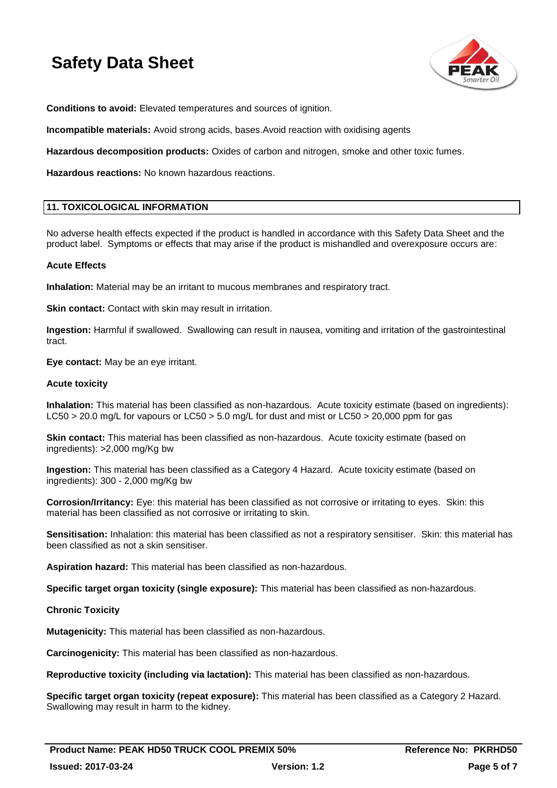

**Conditions to avoid:** Elevated temperatures and sources of ignition.

**Incompatible materials:** Avoid strong acids, bases.Avoid reaction with oxidising agents

**Hazardous decomposition products:** Oxides of carbon and nitrogen, smoke and other toxic fumes.

**Hazardous reactions:** No known hazardous reactions.

### **11. TOXICOLOGICAL INFORMATION**

No adverse health effects expected if the product is handled in accordance with this Safety Data Sheet and the product label. Symptoms or effects that may arise if the product is mishandled and overexposure occurs are:

### **Acute Effects**

**Inhalation:** Material may be an irritant to mucous membranes and respiratory tract.

**Skin contact:** Contact with skin may result in irritation.

**Ingestion:** Harmful if swallowed. Swallowing can result in nausea, vomiting and irritation of the gastrointestinal tract.

**Eye contact:** May be an eye irritant.

#### **Acute toxicity**

**Inhalation:** This material has been classified as non-hazardous. Acute toxicity estimate (based on ingredients): LC50 > 20.0 mg/L for vapours or LC50 > 5.0 mg/L for dust and mist or LC50 > 20,000 ppm for gas

**Skin contact:** This material has been classified as non-hazardous. Acute toxicity estimate (based on ingredients): >2,000 mg/Kg bw

**Ingestion:** This material has been classified as a Category 4 Hazard. Acute toxicity estimate (based on ingredients): 300 - 2,000 mg/Kg bw

**Corrosion/Irritancy:** Eye: this material has been classified as not corrosive or irritating to eyes. Skin: this material has been classified as not corrosive or irritating to skin.

**Sensitisation:** Inhalation: this material has been classified as not a respiratory sensitiser. Skin: this material has been classified as not a skin sensitiser.

**Aspiration hazard:** This material has been classified as non-hazardous.

**Specific target organ toxicity (single exposure):** This material has been classified as non-hazardous.

#### **Chronic Toxicity**

**Mutagenicity:** This material has been classified as non-hazardous.

**Carcinogenicity:** This material has been classified as non-hazardous.

**Reproductive toxicity (including via lactation):** This material has been classified as non-hazardous.

**Specific target organ toxicity (repeat exposure):** This material has been classified as a Category 2 Hazard. Swallowing may result in harm to the kidney.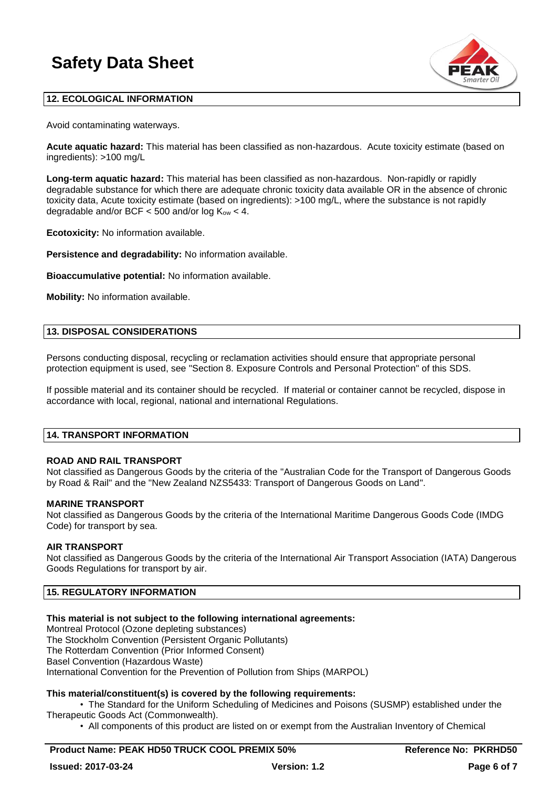

# **12. ECOLOGICAL INFORMATION**

Avoid contaminating waterways.

**Acute aquatic hazard:** This material has been classified as non-hazardous. Acute toxicity estimate (based on ingredients): >100 mg/L

**Long-term aquatic hazard:** This material has been classified as non-hazardous. Non-rapidly or rapidly degradable substance for which there are adequate chronic toxicity data available OR in the absence of chronic toxicity data, Acute toxicity estimate (based on ingredients): >100 mg/L, where the substance is not rapidly degradable and/or BCF  $<$  500 and/or log  $K_{ow}$   $<$  4.

**Ecotoxicity:** No information available.

**Persistence and degradability:** No information available.

**Bioaccumulative potential:** No information available.

**Mobility:** No information available.

### **13. DISPOSAL CONSIDERATIONS**

Persons conducting disposal, recycling or reclamation activities should ensure that appropriate personal protection equipment is used, see "Section 8. Exposure Controls and Personal Protection" of this SDS.

If possible material and its container should be recycled. If material or container cannot be recycled, dispose in accordance with local, regional, national and international Regulations.

#### **14. TRANSPORT INFORMATION**

# **ROAD AND RAIL TRANSPORT**

Not classified as Dangerous Goods by the criteria of the "Australian Code for the Transport of Dangerous Goods by Road & Rail" and the "New Zealand NZS5433: Transport of Dangerous Goods on Land".

#### **MARINE TRANSPORT**

Not classified as Dangerous Goods by the criteria of the International Maritime Dangerous Goods Code (IMDG Code) for transport by sea.

#### **AIR TRANSPORT**

Not classified as Dangerous Goods by the criteria of the International Air Transport Association (IATA) Dangerous Goods Regulations for transport by air.

# **15. REGULATORY INFORMATION**

# **This material is not subject to the following international agreements:**

Montreal Protocol (Ozone depleting substances) The Stockholm Convention (Persistent Organic Pollutants) The Rotterdam Convention (Prior Informed Consent) Basel Convention (Hazardous Waste) International Convention for the Prevention of Pollution from Ships (MARPOL)

# **This material/constituent(s) is covered by the following requirements:**

• The Standard for the Uniform Scheduling of Medicines and Poisons (SUSMP) established under the Therapeutic Goods Act (Commonwealth).

• All components of this product are listed on or exempt from the Australian Inventory of Chemical